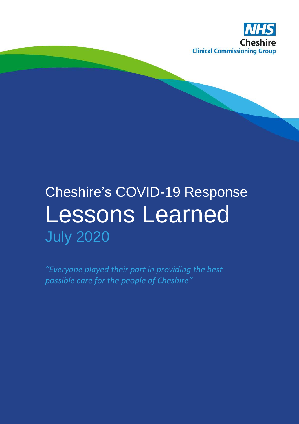

# Cheshire's COVID-19 Response Lessons Learned July 2020

*"Everyone played their part in providing the best possible care for the people of Cheshire"*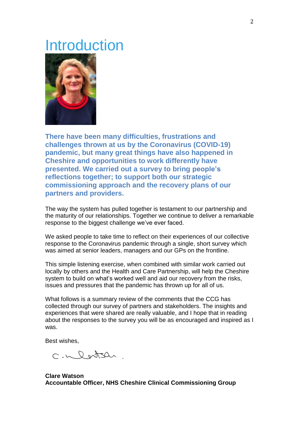### Introduction



**There have been many difficulties, frustrations and challenges thrown at us by the Coronavirus (COVID-19) pandemic, but many great things have also happened in Cheshire and opportunities to work differently have presented. We carried out a survey to bring people's reflections together; to support both our strategic commissioning approach and the recovery plans of our partners and providers.**

The way the system has pulled together is testament to our partnership and the maturity of our relationships. Together we continue to deliver a remarkable response to the biggest challenge we've ever faced.

We asked people to take time to reflect on their experiences of our collective response to the Coronavirus pandemic through a single, short survey which was aimed at senior leaders, managers and our GPs on the frontline.

This simple listening exercise, when combined with similar work carried out locally by others and the Health and Care Partnership, will help the Cheshire system to build on what's worked well and aid our recovery from the risks, issues and pressures that the pandemic has thrown up for all of us.

What follows is a summary review of the comments that the CCG has collected through our survey of partners and stakeholders. The insights and experiences that were shared are really valuable, and I hope that in reading about the responses to the survey you will be as encouraged and inspired as I was.

Best wishes,

C-Wlatsh

**Clare Watson Accountable Officer, NHS Cheshire Clinical Commissioning Group**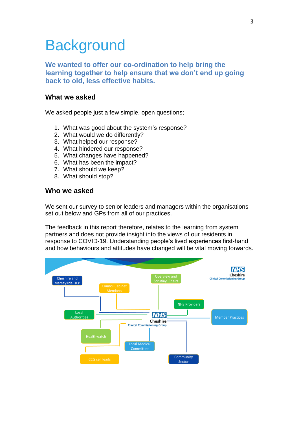### **Background**

**We wanted to offer our co-ordination to help bring the learning together to help ensure that we don't end up going back to old, less effective habits.**

#### **What we asked**

We asked people just a few simple, open questions;

- 1. What was good about the system's response?
- 2. What would we do differently?
- 3. What helped our response?
- 4. What hindered our response?
- 5. What changes have happened?
- 6. What has been the impact?
- 7. What should we keep?
- 8. What should stop?

#### **Who we asked**

We sent our survey to senior leaders and managers within the organisations set out below and GPs from all of our practices.

The feedback in this report therefore, relates to the learning from system partners and does not provide insight into the views of our residents in response to COVID-19. Understanding people's lived experiences first-hand and how behaviours and attitudes have changed will be vital moving forwards.

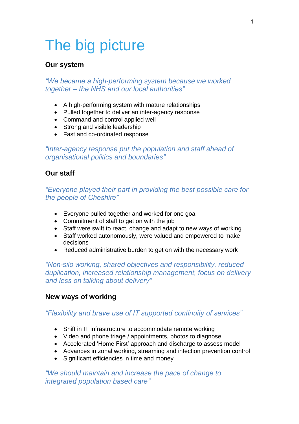## The big picture

#### **Our system**

*"We became a high-performing system because we worked together – the NHS and our local authorities"* 

- A high-performing system with mature relationships
- Pulled together to deliver an inter-agency response
- Command and control applied well
- Strong and visible leadership
- Fast and co-ordinated response

*"Inter-agency response put the population and staff ahead of organisational politics and boundaries"*

#### **Our staff**

*"Everyone played their part in providing the best possible care for the people of Cheshire"* 

- Everyone pulled together and worked for one goal
- Commitment of staff to get on with the job
- Staff were swift to react, change and adapt to new ways of working
- Staff worked autonomously, were valued and empowered to make decisions
- Reduced administrative burden to get on with the necessary work

*"Non-silo working, shared objectives and responsibility, reduced duplication, increased relationship management, focus on delivery and less on talking about delivery"*

#### **New ways of working**

#### *"Flexibility and brave use of IT supported continuity of services"*

- Shift in IT infrastructure to accommodate remote working
- Video and phone triage / appointments, photos to diagnose
- Accelerated 'Home First' approach and discharge to assess model
- Advances in zonal working, streaming and infection prevention control
- Significant efficiencies in time and money

*"We should maintain and increase the pace of change to integrated population based care"*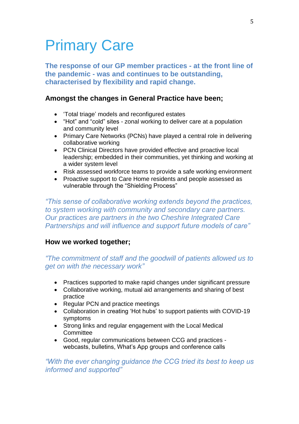### Primary Care

**The response of our GP member practices - at the front line of the pandemic - was and continues to be outstanding, characterised by flexibility and rapid change.**

#### **Amongst the changes in General Practice have been;**

- 'Total triage' models and reconfigured estates
- "Hot" and "cold" sites zonal working to deliver care at a population and community level
- Primary Care Networks (PCNs) have played a central role in delivering collaborative working
- PCN Clinical Directors have provided effective and proactive local leadership; embedded in their communities, yet thinking and working at a wider system level
- Risk assessed workforce teams to provide a safe working environment
- Proactive support to Care Home residents and people assessed as vulnerable through the "Shielding Process"

*"This sense of collaborative working extends beyond the practices, to system working with community and secondary care partners. Our practices are partners in the two Cheshire Integrated Care Partnerships and will influence and support future models of care"*

#### **How we worked together;**

#### *"The commitment of staff and the goodwill of patients allowed us to get on with the necessary work"*

- Practices supported to make rapid changes under significant pressure
- Collaborative working, mutual aid arrangements and sharing of best practice
- Regular PCN and practice meetings
- Collaboration in creating 'Hot hubs' to support patients with COVID-19 symptoms
- Strong links and regular engagement with the Local Medical **Committee**
- Good, regular communications between CCG and practices webcasts, bulletins, What's App groups and conference calls

#### *"With the ever changing guidance the CCG tried its best to keep us informed and supported"*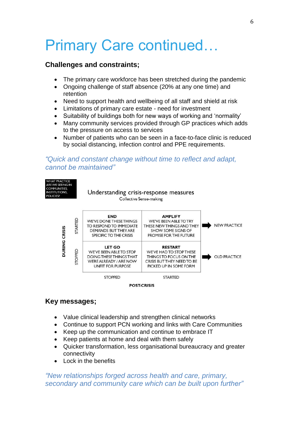### Primary Care continued…

#### **Challenges and constraints;**

- The primary care workforce has been stretched during the pandemic
- Ongoing challenge of staff absence (20% at any one time) and retention
- Need to support health and wellbeing of all staff and shield at risk
- Limitations of primary care estate need for investment
- Suitability of buildings both for new ways of working and 'normality'
- Many community services provided through GP practices which adds to the pressure on access to services
- Number of patients who can be seen in a face-to-face clinic is reduced by social distancing, infection control and PPE requirements.

#### *"Quick and constant change without time to reflect and adapt, cannot be maintained"*



#### **Key messages;**

- Value clinical leadership and strengthen clinical networks
- Continue to support PCN working and links with Care Communities
- Keep up the communication and continue to embrace IT
- Keep patients at home and deal with them safely
- Quicker transformation, less organisational bureaucracy and greater connectivity
- Lock in the benefits

*"New relationships forged across health and care, primary, secondary and community care which can be built upon further"*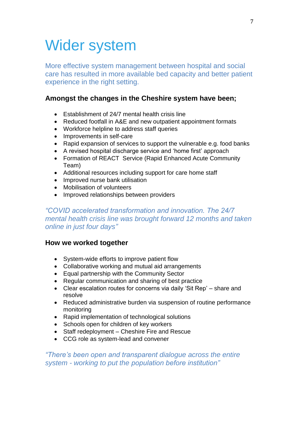### Wider system

More effective system management between hospital and social care has resulted in more available bed capacity and better patient experience in the right setting.

#### **Amongst the changes in the Cheshire system have been;**

- Establishment of 24/7 mental health crisis line
- Reduced footfall in A&E and new outpatient appointment formats
- Workforce helpline to address staff queries
- Improvements in self-care
- Rapid expansion of services to support the vulnerable e.g. food banks
- A revised hospital discharge service and 'home first' approach
- Formation of REACT Service (Rapid Enhanced Acute Community Team)
- Additional resources including support for care home staff
- Improved nurse bank utilisation
- Mobilisation of volunteers
- Improved relationships between providers

#### *"COVID accelerated transformation and innovation. The 24/7 mental health crisis line was brought forward 12 months and taken online in just four days"*

#### **How we worked together**

- System-wide efforts to improve patient flow
- Collaborative working and mutual aid arrangements
- Equal partnership with the Community Sector
- Regular communication and sharing of best practice
- Clear escalation routes for concerns via daily 'Sit Rep' share and resolve
- Reduced administrative burden via suspension of routine performance monitoring
- Rapid implementation of technological solutions
- Schools open for children of key workers
- Staff redeployment Cheshire Fire and Rescue
- CCG role as system-lead and convener

#### *"There's been open and transparent dialogue across the entire system - working to put the population before institution"*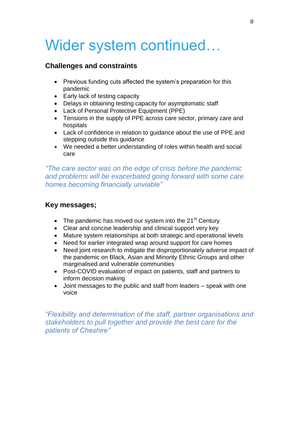### Wider system continued…

#### **Challenges and constraints**

- Previous funding cuts affected the system's preparation for this pandemic
- Early lack of testing capacity
- Delays in obtaining testing capacity for asymptomatic staff
- Lack of Personal Protective Equipment (PPE)
- Tensions in the supply of PPE across care sector, primary care and hospitals
- Lack of confidence in relation to guidance about the use of PPE and stepping outside this guidance
- We needed a better understanding of roles within health and social care

*"The care sector was on the edge of crisis before the pandemic and problems will be exacerbated going forward with some care homes becoming financially unviable"*

#### **Key messages;**

- The pandemic has moved our system into the  $21<sup>st</sup>$  Century
- Clear and concise leadership and clinical support very key
- Mature system relationships at both strategic and operational levels
- Need for earlier integrated wrap around support for care homes
- Need joint research to mitigate the disproportionately adverse impact of the pandemic on Black, Asian and Minority Ethnic Groups and other marginalised and vulnerable communities
- Post-COVID evaluation of impact on patients, staff and partners to inform decision making
- Joint messages to the public and staff from leaders speak with one voice

*"Flexibility and determination of the staff, partner organisations and stakeholders to pull together and provide the best care for the patients of Cheshire"*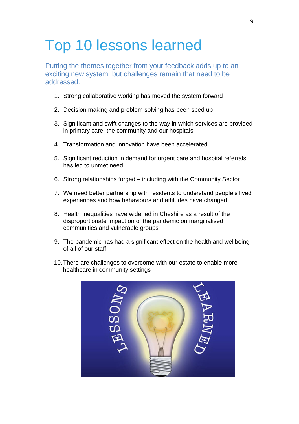### Top 10 lessons learned

Putting the themes together from your feedback adds up to an exciting new system, but challenges remain that need to be addressed.

- 1. Strong collaborative working has moved the system forward
- 2. Decision making and problem solving has been sped up
- 3. Significant and swift changes to the way in which services are provided in primary care, the community and our hospitals
- 4. Transformation and innovation have been accelerated
- 5. Significant reduction in demand for urgent care and hospital referrals has led to unmet need
- 6. Strong relationships forged including with the Community Sector
- 7. We need better partnership with residents to understand people's lived experiences and how behaviours and attitudes have changed
- 8. Health inequalities have widened in Cheshire as a result of the disproportionate impact on of the pandemic on marginalised communities and vulnerable groups
- 9. The pandemic has had a significant effect on the health and wellbeing of all of our staff
- 10.There are challenges to overcome with our estate to enable more healthcare in community settings